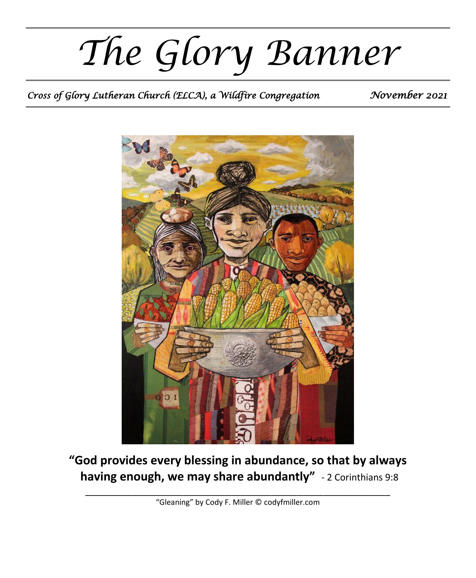*The Glory Banner*

*Cross of Glory Lutheran Church (ELCA), a Wildfire Congregation* Movember 2021



**"God provides every blessing in abundance, so that by always having enough, we may share abundantly"** - 2 Corinthians 9:8

\_\_\_\_\_\_\_\_\_\_\_\_\_\_\_\_\_\_\_\_\_\_\_\_\_\_\_\_\_\_\_\_\_\_\_\_\_\_\_\_\_\_\_\_\_\_\_\_\_\_\_\_\_\_\_\_\_\_\_ "Gleaning" by Cody F. Miller © codyfmiller.com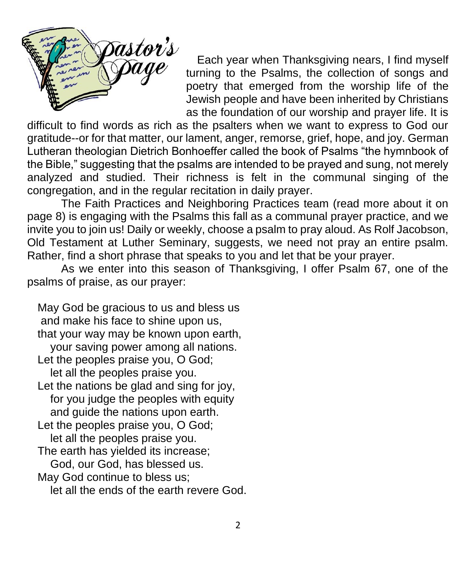

Each year when Thanksgiving nears, I find myself turning to the Psalms, the collection of songs and poetry that emerged from the worship life of the Jewish people and have been inherited by Christians as the foundation of our worship and prayer life. It is

difficult to find words as rich as the psalters when we want to express to God our gratitude--or for that matter, our lament, anger, remorse, grief, hope, and joy. German Lutheran theologian Dietrich Bonhoeffer called the book of Psalms "the hymnbook of the Bible," suggesting that the psalms are intended to be prayed and sung, not merely analyzed and studied. Their richness is felt in the communal singing of the congregation, and in the regular recitation in daily prayer.

The Faith Practices and Neighboring Practices team (read more about it on page 8) is engaging with the Psalms this fall as a communal prayer practice, and we invite you to join us! Daily or weekly, choose a psalm to pray aloud. As Rolf Jacobson, Old Testament at Luther Seminary, suggests, we need not pray an entire psalm. Rather, find a short phrase that speaks to you and let that be your prayer.

As we enter into this season of Thanksgiving, I offer Psalm 67, one of the psalms of praise, as our prayer:

May God be gracious to us and bless us and make his face to shine upon us, that your way may be known upon earth, your saving power among all nations. Let the peoples praise you, O God; let all the peoples praise you. Let the nations be glad and sing for joy, for you judge the peoples with equity and guide the nations upon earth. Let the peoples praise you, O God; let all the peoples praise you. The earth has yielded its increase; God, our God, has blessed us. May God continue to bless us; let all the ends of the earth revere God.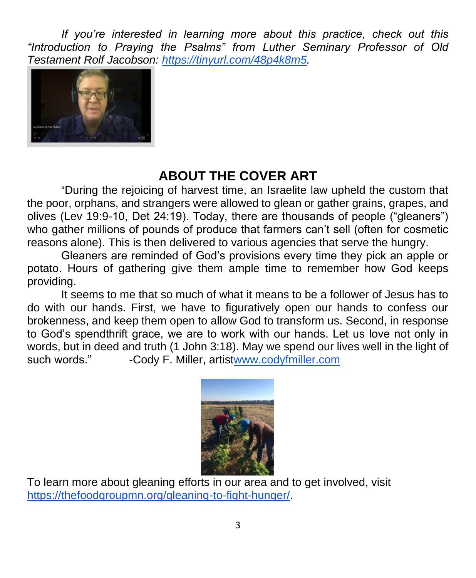*If you're interested in learning more about this practice, check out this "Introduction to Praying the Psalms" from Luther Seminary Professor of Old Testament Rolf Jacobson: [https://tinyurl.com/48p4k8m5.](https://tinyurl.com/48p4k8m5)* 



### **ABOUT THE COVER ART**

"During the rejoicing of harvest time, an Israelite law upheld the custom that the poor, orphans, and strangers were allowed to glean or gather grains, grapes, and olives (Lev 19:9-10, Det 24:19). Today, there are thousands of people ("gleaners") who gather millions of pounds of produce that farmers can't sell (often for cosmetic reasons alone). This is then delivered to various agencies that serve the hungry.

Gleaners are reminded of God's provisions every time they pick an apple or potato. Hours of gathering give them ample time to remember how God keeps providing.

It seems to me that so much of what it means to be a follower of Jesus has to do with our hands. First, we have to figuratively open our hands to confess our brokenness, and keep them open to allow God to transform us. Second, in response to God's spendthrift grace, we are to work with our hands. Let us love not only in words, but in deed and truth (1 John 3:18). May we spend our lives well in the light of such words." -Cody F. Miller, artis[twww.codyfmiller.com](http://www.codyfmiller.com/)



To learn more about gleaning efforts in our area and to get involved, visit [https://thefoodgroupmn.org/gleaning-to-fight-hunger/.](https://thefoodgroupmn.org/gleaning-to-fight-hunger/)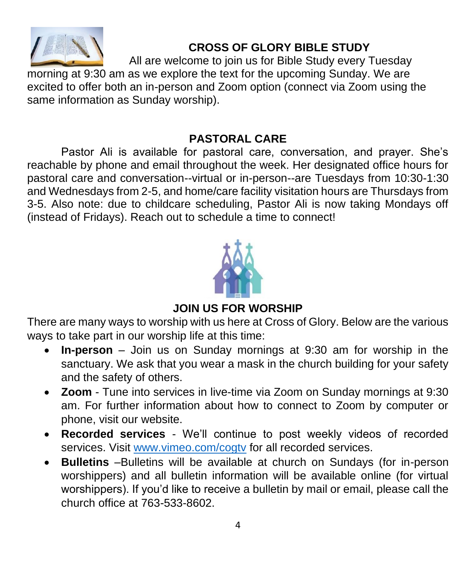

### **CROSS OF GLORY BIBLE STUDY**

All are welcome to join us for Bible Study every Tuesday

morning at 9:30 am as we explore the text for the upcoming Sunday. We are excited to offer both an in-person and Zoom option (connect via Zoom using the same information as Sunday worship).

#### **PASTORAL CARE**

Pastor Ali is available for pastoral care, conversation, and prayer. She's reachable by phone and email throughout the week. Her designated office hours for pastoral care and conversation--virtual or in-person--are Tuesdays from 10:30-1:30 and Wednesdays from 2-5, and home/care facility visitation hours are Thursdays from 3-5. Also note: due to childcare scheduling, Pastor Ali is now taking Mondays off (instead of Fridays). Reach out to schedule a time to connect!



#### **JOIN US FOR WORSHIP**

There are many ways to worship with us here at Cross of Glory. Below are the various ways to take part in our worship life at this time:

- **In-person**  Join us on Sunday mornings at 9:30 am for worship in the sanctuary. We ask that you wear a mask in the church building for your safety and the safety of others.
- **Zoom** Tune into services in live-time via Zoom on Sunday mornings at 9:30 am. For further information about how to connect to Zoom by computer or phone, visit our website.
- **Recorded services** We'll continue to post weekly videos of recorded services. Visit [www.vimeo.com/cogtv](http://www.vimeo.com/cogtv) for all recorded services.
- **Bulletins** –Bulletins will be available at church on Sundays (for in-person worshippers) and all bulletin information will be available online (for virtual worshippers). If you'd like to receive a bulletin by mail or email, please call the church office at 763-533-8602.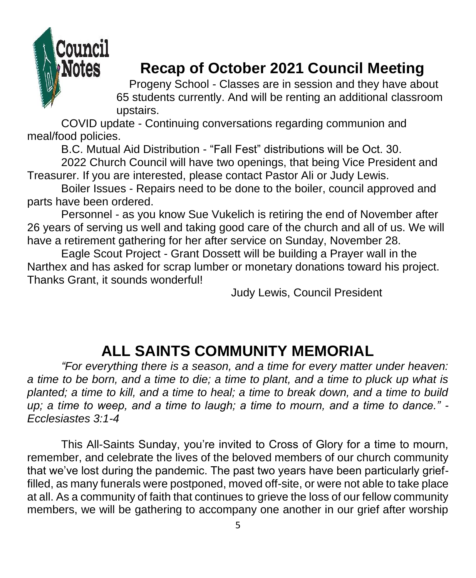

# **Recap of October 2021 Council Meeting**

Progeny School - Classes are in session and they have about 65 students currently. And will be renting an additional classroom upstairs.

COVID update - Continuing conversations regarding communion and meal/food policies.

B.C. Mutual Aid Distribution - "Fall Fest" distributions will be Oct. 30.

2022 Church Council will have two openings, that being Vice President and Treasurer. If you are interested, please contact Pastor Ali or Judy Lewis.

Boiler Issues - Repairs need to be done to the boiler, council approved and parts have been ordered.

Personnel - as you know Sue Vukelich is retiring the end of November after 26 years of serving us well and taking good care of the church and all of us. We will have a retirement gathering for her after service on Sunday, November 28.

Eagle Scout Project - Grant Dossett will be building a Prayer wall in the Narthex and has asked for scrap lumber or monetary donations toward his project. Thanks Grant, it sounds wonderful!

Judy Lewis, Council President

# **ALL SAINTS COMMUNITY MEMORIAL**

*"For everything there is a season, and a time for every matter under heaven: a time to be born, and a time to die; a time to plant, and a time to pluck up what is planted; a time to kill, and a time to heal; a time to break down, and a time to build up; a time to weep, and a time to laugh; a time to mourn, and a time to dance." - Ecclesiastes 3:1-4*

This All-Saints Sunday, you're invited to Cross of Glory for a time to mourn, remember, and celebrate the lives of the beloved members of our church community that we've lost during the pandemic. The past two years have been particularly grieffilled, as many funerals were postponed, moved off-site, or were not able to take place at all. As a community of faith that continues to grieve the loss of our fellow community members, we will be gathering to accompany one another in our grief after worship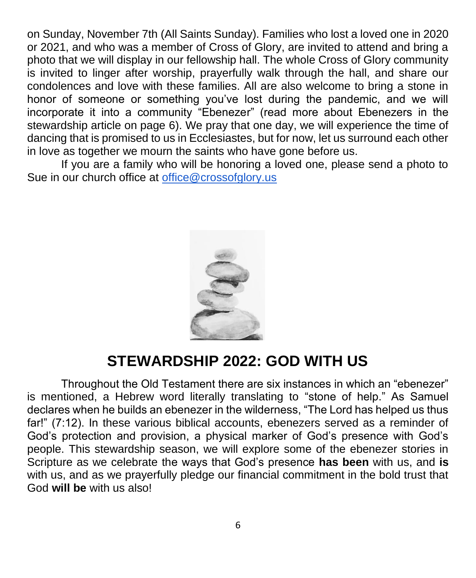on Sunday, November 7th (All Saints Sunday). Families who lost a loved one in 2020 or 2021, and who was a member of Cross of Glory, are invited to attend and bring a photo that we will display in our fellowship hall. The whole Cross of Glory community is invited to linger after worship, prayerfully walk through the hall, and share our condolences and love with these families. All are also welcome to bring a stone in honor of someone or something you've lost during the pandemic, and we will incorporate it into a community "Ebenezer" (read more about Ebenezers in the stewardship article on page 6). We pray that one day, we will experience the time of dancing that is promised to us in Ecclesiastes, but for now, let us surround each other in love as together we mourn the saints who have gone before us.

If you are a family who will be honoring a loved one, please send a photo to Sue in our church office at [office@crossofglory.us](mailto:office@crossofglory.us)



## **STEWARDSHIP 2022: GOD WITH US**

Throughout the Old Testament there are six instances in which an "ebenezer" is mentioned, a Hebrew word literally translating to "stone of help." As Samuel declares when he builds an ebenezer in the wilderness, "The Lord has helped us thus far!" (7:12). In these various biblical accounts, ebenezers served as a reminder of God's protection and provision, a physical marker of God's presence with God's people. This stewardship season, we will explore some of the ebenezer stories in Scripture as we celebrate the ways that God's presence **has been** with us, and **is** with us, and as we prayerfully pledge our financial commitment in the bold trust that God **will be** with us also!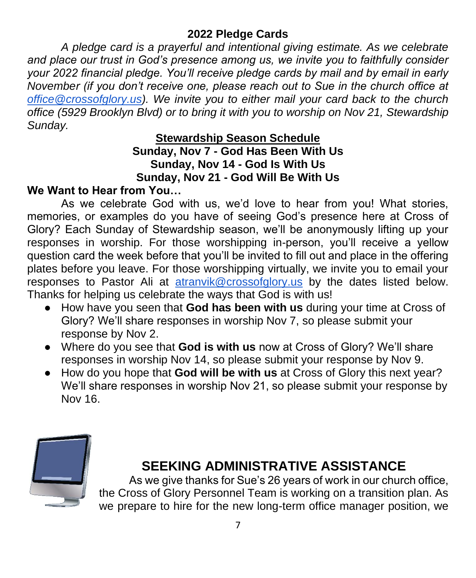### **2022 Pledge Cards**

*A pledge card is a prayerful and intentional giving estimate. As we celebrate and place our trust in God's presence among us, we invite you to faithfully consider your 2022 financial pledge. You'll receive pledge cards by mail and by email in early November (if you don't receive one, please reach out to Sue in the church office at [office@crossofglory.us\)](mailto:office@crossofglory.us). We invite you to either mail your card back to the church office (5929 Brooklyn Blvd) or to bring it with you to worship on Nov 21, Stewardship Sunday.* 

#### **Stewardship Season Schedule Sunday, Nov 7 - God Has Been With Us Sunday, Nov 14 - God Is With Us Sunday, Nov 21 - God Will Be With Us**

### **We Want to Hear from You…**

As we celebrate God with us, we'd love to hear from you! What stories, memories, or examples do you have of seeing God's presence here at Cross of Glory? Each Sunday of Stewardship season, we'll be anonymously lifting up your responses in worship. For those worshipping in-person, you'll receive a yellow question card the week before that you'll be invited to fill out and place in the offering plates before you leave. For those worshipping virtually, we invite you to email your responses to Pastor Ali at [atranvik@crossofglory.us](mailto:atranvik@crossofglory.us) by the dates listed below. Thanks for helping us celebrate the ways that God is with us!

- How have you seen that **God has been with us** during your time at Cross of Glory? We'll share responses in worship Nov 7, so please submit your response by Nov 2.
- Where do you see that **God is with us** now at Cross of Glory? We'll share responses in worship Nov 14, so please submit your response by Nov 9.
- How do you hope that **God will be with us** at Cross of Glory this next year? We'll share responses in worship Nov 21, so please submit your response by Nov 16.



### **SEEKING ADMINISTRATIVE ASSISTANCE**

As we give thanks for Sue's 26 years of work in our church office, the Cross of Glory Personnel Team is working on a transition plan. As we prepare to hire for the new long-term office manager position, we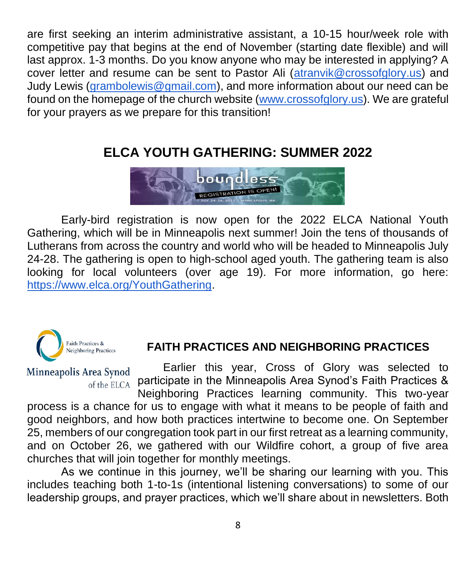are first seeking an interim administrative assistant, a 10-15 hour/week role with competitive pay that begins at the end of November (starting date flexible) and will last approx. 1-3 months. Do you know anyone who may be interested in applying? A cover letter and resume can be sent to Pastor Ali [\(atranvik@crossofglory.us\)](mailto:atranvik@crossofglory.us) and Judy Lewis [\(grambolewis@gmail.com\)](mailto:grambolewis@gmail.com), and more information about our need can be found on the homepage of the church website [\(www.crossofglory.us\)](http://www.crossofglory.us/). We are grateful for your prayers as we prepare for this transition!

### **ELCA YOUTH GATHERING: SUMMER 2022**



Early-bird registration is now open for the 2022 ELCA National Youth Gathering, which will be in Minneapolis next summer! Join the tens of thousands of Lutherans from across the country and world who will be headed to Minneapolis July 24-28. The gathering is open to high-school aged youth. The gathering team is also looking for local volunteers (over age 19). For more information, go here: [https://www.elca.org/YouthGathering.](https://www.elca.org/YouthGathering)



#### **FAITH PRACTICES AND NEIGHBORING PRACTICES**

Earlier this year, Cross of Glory was selected to Minneapolis Area Synod participate in the Minneapolis Area Synod's Faith Practices & of the ELCA Neighboring Practices learning community. This two-year

process is a chance for us to engage with what it means to be people of faith and good neighbors, and how both practices intertwine to become one. On September 25, members of our congregation took part in our first retreat as a learning community, and on October 26, we gathered with our Wildfire cohort, a group of five area churches that will join together for monthly meetings.

As we continue in this journey, we'll be sharing our learning with you. This includes teaching both 1-to-1s (intentional listening conversations) to some of our leadership groups, and prayer practices, which we'll share about in newsletters. Both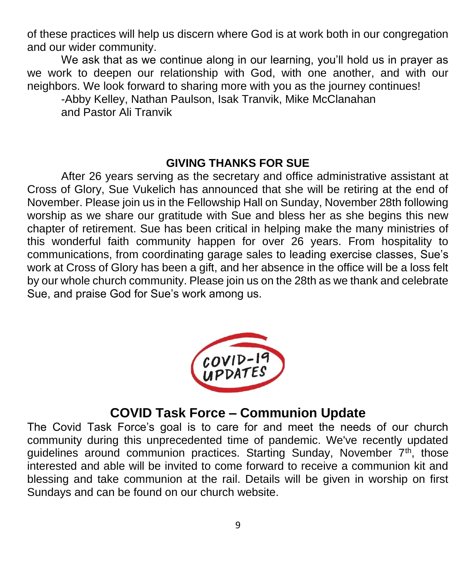of these practices will help us discern where God is at work both in our congregation and our wider community.

We ask that as we continue along in our learning, you'll hold us in prayer as we work to deepen our relationship with God, with one another, and with our neighbors. We look forward to sharing more with you as the journey continues!

-Abby Kelley, Nathan Paulson, Isak Tranvik, Mike McClanahan

and Pastor Ali Tranvik

#### **GIVING THANKS FOR SUE**

After 26 years serving as the secretary and office administrative assistant at Cross of Glory, Sue Vukelich has announced that she will be retiring at the end of November. Please join us in the Fellowship Hall on Sunday, November 28th following worship as we share our gratitude with Sue and bless her as she begins this new chapter of retirement. Sue has been critical in helping make the many ministries of this wonderful faith community happen for over 26 years. From hospitality to communications, from coordinating garage sales to leading exercise classes, Sue's work at Cross of Glory has been a gift, and her absence in the office will be a loss felt by our whole church community. Please join us on the 28th as we thank and celebrate Sue, and praise God for Sue's work among us.



### **COVID Task Force – Communion Update**

The Covid Task Force's goal is to care for and meet the needs of our church community during this unprecedented time of pandemic. We've recently updated guidelines around communion practices. Starting Sunday, November 7<sup>th</sup>, those interested and able will be invited to come forward to receive a communion kit and blessing and take communion at the rail. Details will be given in worship on first Sundays and can be found on our church website.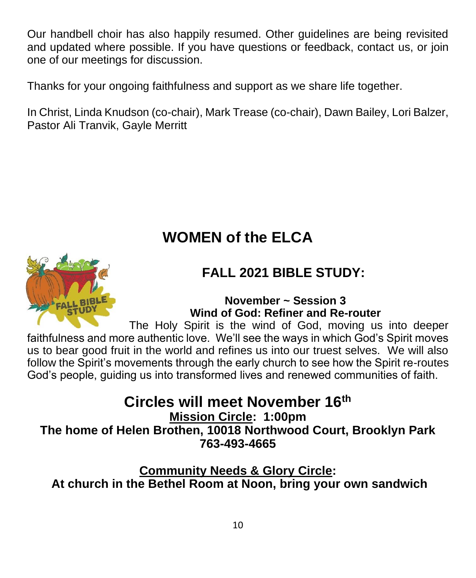Our handbell choir has also happily resumed. Other guidelines are being revisited and updated where possible. If you have questions or feedback, contact us, or join one of our meetings for discussion.

Thanks for your ongoing faithfulness and support as we share life together.

In Christ, Linda Knudson (co-chair), Mark Trease (co-chair), Dawn Bailey, Lori Balzer, Pastor Ali Tranvik, Gayle Merritt

# **WOMEN of the ELCA**



### **November ~ Session 3 Wind of God: Refiner and Re-router**

The Holy Spirit is the wind of God, moving us into deeper faithfulness and more authentic love. We'll see the ways in which God's Spirit moves us to bear good fruit in the world and refines us into our truest selves. We will also follow the Spirit's movements through the early church to see how the Spirit re-routes God's people, guiding us into transformed lives and renewed communities of faith.

## **Circles will meet November 16 th**

**Mission Circle: 1:00pm**

**The home of Helen Brothen, 10018 Northwood Court, Brooklyn Park 763-493-4665**

**Community Needs & Glory Circle: At church in the Bethel Room at Noon, bring your own sandwich**

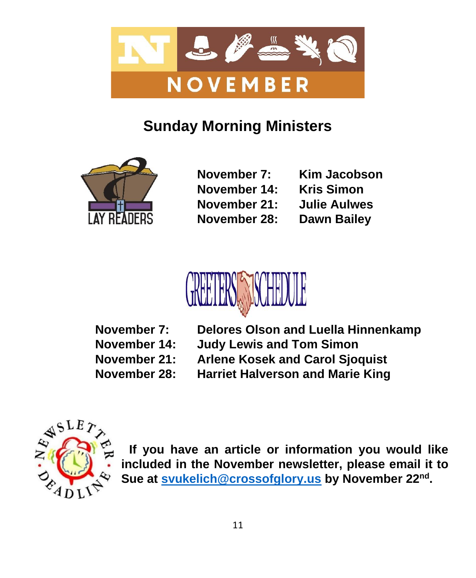

## **Sunday Morning Ministers**



**November 14: Kris Simon November 21: Julie Aulwes November 28: Dawn Bailey** 

**November 7: Kim Jacobson**



**November 7: Delores Olson and Luella Hinnenkamp November 14: Judy Lewis and Tom Simon November 21: Arlene Kosek and Carol Sjoquist November 28: Harriet Halverson and Marie King**



**If you have an article or information you would like included in the November newsletter, please email it to Sue at [svukelich@crossofglory.us](mailto:svukelich@crossofglory.us) by November 22 nd .**